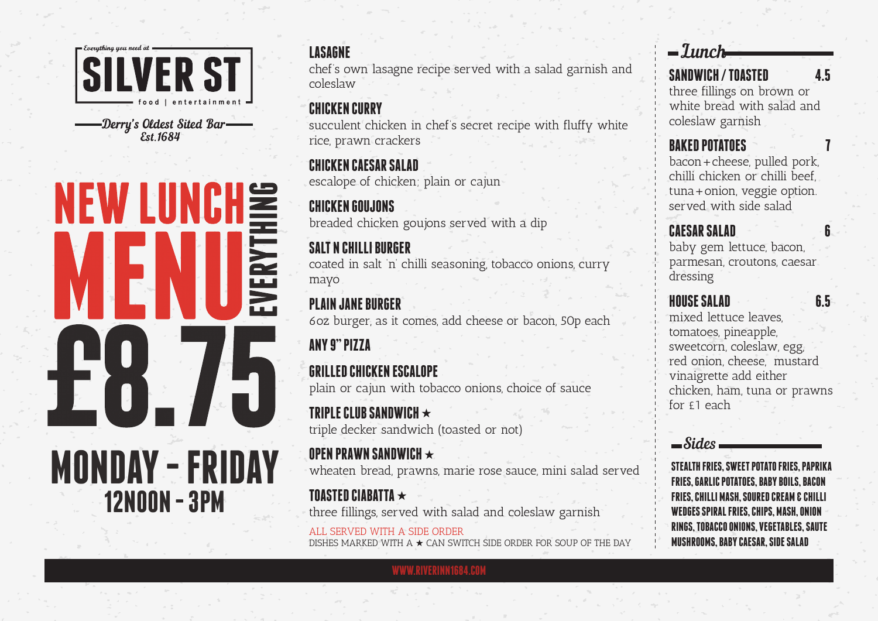

**Est 1684** 

# NEW LUNCH EVERYT **MONDAY - FRIDAY 12NOON - 3PM**

chef's own lasagne recipe served with a salad garnish and coleslaw

## **CHICKEN CURRY**

succulent chicken in chef's secret recipe with fluffy white rice, prawn crackers

#### **CHICKEN CAESAR SALAD** escalope of chicken; plain or cajun

**CHICKEN GOUJONS** breaded chicken goujons served with a dip

# **SALT N CHILLI BURGER**

coated in salt 'n' chilli seasoning, tobacco onions, curry mayo

# **PLAIN JANE BURGER**

6oz burger, as it comes, add cheese or bacon, 50p each

# **ANY 9" PIZZA**

# **GRILLED CHICKEN ESCALOPE**

plain or cajun with tobacco onions, choice of sauce

**TRIPLE CLUB SANDWICH** ★ triple decker sandwich (toasted or not)

# **OPEN PRAWN SANDWICH** ★

wheaten bread, prawns, marie rose sauce, mini salad served

#### **TOASTED CIABATTA** ★ three fillings, served with salad and coleslaw garnish

**WWW.RIVERINN1684.COM**

ALL SERVED WITH A SIDE ORDER DISHES MARKED WITH A  $\star$  CAN SWITCH SIDE ORDER FOR SOUP OF THE DAY

# **LASAGNE** *LASAGNE LASAGNE*

# **SANDWICH / TOASTED 4.5**

three fillings on brown or white bread with salad and coleslaw garnish

# **BAKED POTATOES**

bacon+cheese, pulled pork, chilli chicken or chilli beef, tuna+onion, veggie option. served with side salad

# **CAESAR SALAD 6**

baby gem lettuce, bacon, parmesan, croutons, caesar dressing

# **HOUSE SALAD 6.5**

mixed lettuce leaves, tomatoes, pineapple, sweetcorn, coleslaw, egg, red onion, cheese, mustard vinaigrette add either chicken, ham, tuna or prawns for  $f1$  each

### Sides

**STEALTH FRIES, SWEET POTATO FRIES, PAPRIKA FRIES, GARLIC POTATOES, BABY BOILS, BACON FRIES, CHILLI MASH, SOURED CREAM & CHILLI WEDGES SPIRAL FRIES, CHIPS, MASH, ONION RINGS, TOBACCO ONIONS, VEGETABLES, SAUTE MUSHROOMS, BABY CAESAR, SIDE SALAD**